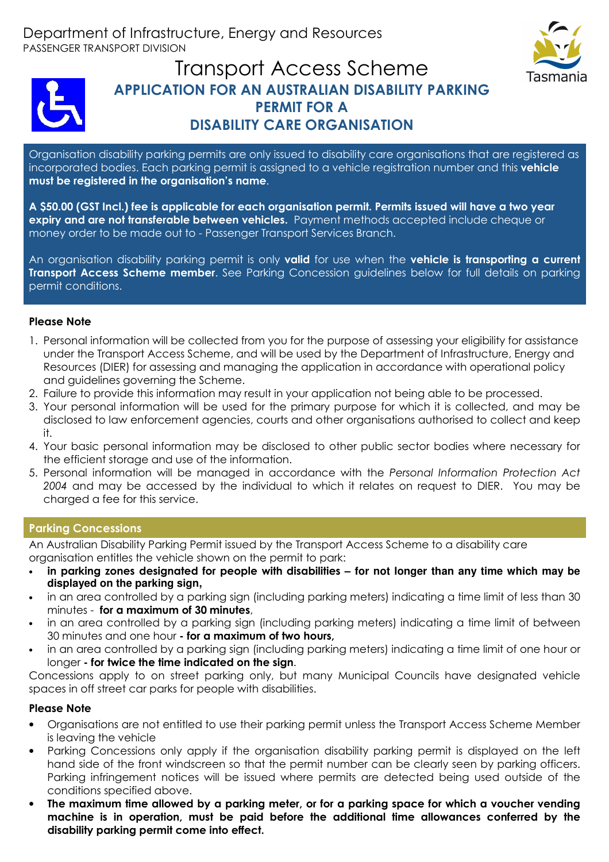



# Transport Access Scheme **APPLICATION FOR AN AUSTRALIAN DISABILITY PARKING PERMIT FOR A DISABILITY CARE ORGANISATION**

Organisation disability parking permits are only issued to disability care organisations that are registered as incorporated bodies. Each parking permit is assigned to a vehicle registration number and this **vehicle must be registered in the organisation's name**.

**A \$50.00 (GST Incl.) fee is applicable for each organisation permit. Permits issued will have a two year expiry and are not transferable between vehicles.** Payment methods accepted include cheque or money order to be made out to - Passenger Transport Services Branch.

An organisation disability parking permit is only **valid** for use when the **vehicle is transporting a current Transport Access Scheme member**. See Parking Concession guidelines below for full details on parking permit conditions.

### **Please Note**

- 1. Personal information will be collected from you for the purpose of assessing your eligibility for assistance under the Transport Access Scheme, and will be used by the Department of Infrastructure, Energy and Resources (DIER) for assessing and managing the application in accordance with operational policy and guidelines governing the Scheme.
- 2. Failure to provide this information may result in your application not being able to be processed.
- 3. Your personal information will be used for the primary purpose for which it is collected, and may be disclosed to law enforcement agencies, courts and other organisations authorised to collect and keep it.
- 4. Your basic personal information may be disclosed to other public sector bodies where necessary for the efficient storage and use of the information.
- 5. Personal information will be managed in accordance with the *Personal Information Protection Act 2004* and may be accessed by the individual to which it relates on request to DIER. You may be charged a fee for this service.

### **Parking Concessions**

An Australian Disability Parking Permit issued by the Transport Access Scheme to a disability care organisation entitles the vehicle shown on the permit to park:

- **in parking zones designated for people with disabilities for not longer than any time which may be displayed on the parking sign,**
- in an area controlled by a parking sign (including parking meters) indicating a time limit of less than 30 minutes - **for a maximum of 30 minutes**,
- in an area controlled by a parking sign (including parking meters) indicating a time limit of between 30 minutes and one hour **- for a maximum of two hours,**
- in an area controlled by a parking sign (including parking meters) indicating a time limit of one hour or longer **- for twice the time indicated on the sign**.

Concessions apply to on street parking only, but many Municipal Councils have designated vehicle spaces in off street car parks for people with disabilities.

### **Please Note**

- Organisations are not entitled to use their parking permit unless the Transport Access Scheme Member is leaving the vehicle
- Parking Concessions only apply if the organisation disability parking permit is displayed on the left hand side of the front windscreen so that the permit number can be clearly seen by parking officers. Parking infringement notices will be issued where permits are detected being used outside of the conditions specified above.
- **The maximum time allowed by a parking meter, or for a parking space for which a voucher vending machine is in operation, must be paid before the additional time allowances conferred by the disability parking permit come into effect.**